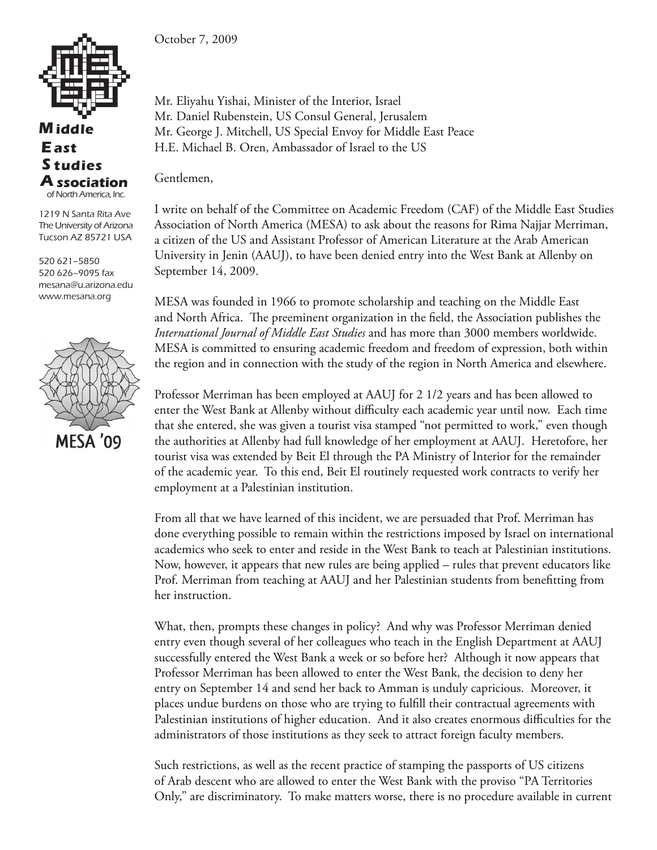October 7, 2009



## **iddle M** A ssociation **tudies S East** of North America, Inc.

1219 N Santa Rita Ave The University of Arizona Tucson AZ 85721 USA

520 621–5850 520 626–9095 fax mesana@u.arizona.edu www.mesana.org



Mr. Eliyahu Yishai, Minister of the Interior, Israel Mr. Daniel Rubenstein, US Consul General, Jerusalem Mr. George J. Mitchell, US Special Envoy for Middle East Peace H.E. Michael B. Oren, Ambassador of Israel to the US

## Gentlemen,

I write on behalf of the Committee on Academic Freedom (CAF) of the Middle East Studies Association of North America (MESA) to ask about the reasons for Rima Najjar Merriman, a citizen of the US and Assistant Professor of American Literature at the Arab American University in Jenin (AAUJ), to have been denied entry into the West Bank at Allenby on September 14, 2009.

MESA was founded in 1966 to promote scholarship and teaching on the Middle East and North Africa. The preeminent organization in the field, the Association publishes the *International Journal of Middle East Studies* and has more than 3000 members worldwide. MESA is committed to ensuring academic freedom and freedom of expression, both within the region and in connection with the study of the region in North America and elsewhere.

Professor Merriman has been employed at AAUJ for 2 1/2 years and has been allowed to enter the West Bank at Allenby without difficulty each academic year until now. Each time that she entered, she was given a tourist visa stamped "not permitted to work," even though the authorities at Allenby had full knowledge of her employment at AAUJ. Heretofore, her tourist visa was extended by Beit El through the PA Ministry of Interior for the remainder of the academic year. To this end, Beit El routinely requested work contracts to verify her employment at a Palestinian institution.

From all that we have learned of this incident, we are persuaded that Prof. Merriman has done everything possible to remain within the restrictions imposed by Israel on international academics who seek to enter and reside in the West Bank to teach at Palestinian institutions. Now, however, it appears that new rules are being applied – rules that prevent educators like Prof. Merriman from teaching at AAUJ and her Palestinian students from benefitting from her instruction.

What, then, prompts these changes in policy? And why was Professor Merriman denied entry even though several of her colleagues who teach in the English Department at AAUJ successfully entered the West Bank a week or so before her? Although it now appears that Professor Merriman has been allowed to enter the West Bank, the decision to deny her entry on September 14 and send her back to Amman is unduly capricious. Moreover, it places undue burdens on those who are trying to fulfill their contractual agreements with Palestinian institutions of higher education. And it also creates enormous difficulties for the administrators of those institutions as they seek to attract foreign faculty members.

Such restrictions, as well as the recent practice of stamping the passports of US citizens of Arab descent who are allowed to enter the West Bank with the proviso "PA Territories Only," are discriminatory. To make matters worse, there is no procedure available in current